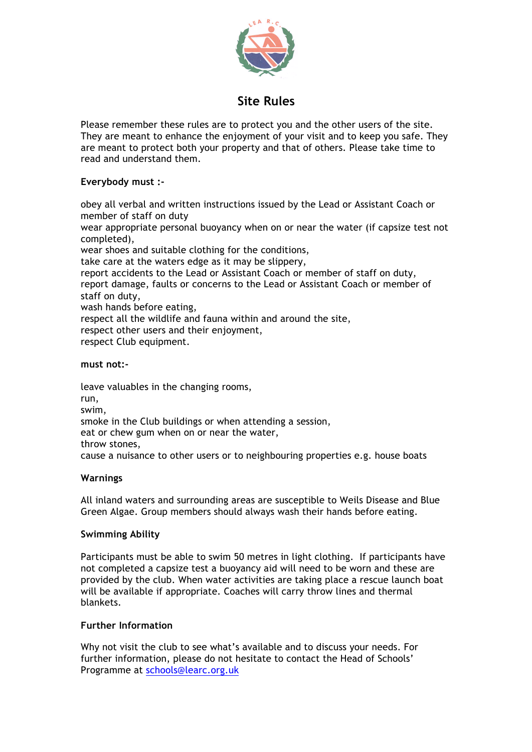

# **Site Rules**

Please remember these rules are to protect you and the other users of the site. They are meant to enhance the enjoyment of your visit and to keep you safe. They are meant to protect both your property and that of others. Please take time to read and understand them.

## **Everybody must :-**

obey all verbal and written instructions issued by the Lead or Assistant Coach or member of staff on duty

wear appropriate personal buoyancy when on or near the water (if capsize test not completed),

wear shoes and suitable clothing for the conditions,

take care at the waters edge as it may be slippery,

report accidents to the Lead or Assistant Coach or member of staff on duty, report damage, faults or concerns to the Lead or Assistant Coach or member of staff on duty,

wash hands before eating,

respect all the wildlife and fauna within and around the site,

respect other users and their enjoyment,

respect Club equipment.

**must not:-**

leave valuables in the changing rooms, run, swim, smoke in the Club buildings or when attending a session, eat or chew gum when on or near the water, throw stones, cause a nuisance to other users or to neighbouring properties e.g. house boats

### **Warnings**

All inland waters and surrounding areas are susceptible to Weils Disease and Blue Green Algae. Group members should always wash their hands before eating.

### **Swimming Ability**

Participants must be able to swim 50 metres in light clothing. If participants have not completed a capsize test a buoyancy aid will need to be worn and these are provided by the club. When water activities are taking place a rescue launch boat will be available if appropriate. Coaches will carry throw lines and thermal blankets.

### **Further Information**

Why not visit the club to see what's available and to discuss your needs. For further information, please do not hesitate to contact the Head of Schools' Programme at schools@learc.org.uk